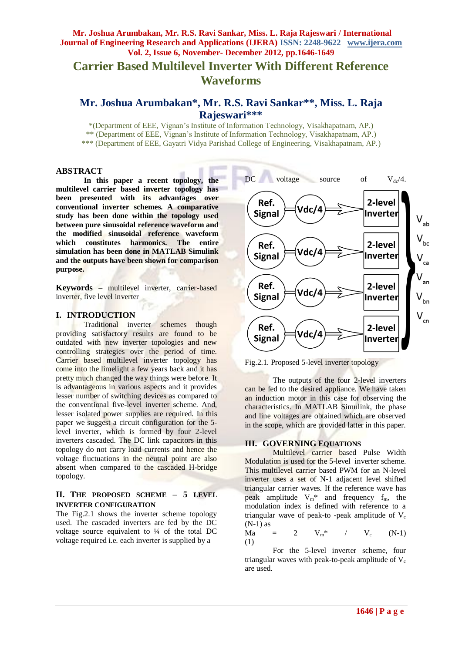# **Carrier Based Multilevel Inverter With Different Reference Waveforms**

## **Mr. Joshua Arumbakan\*, Mr. R.S. Ravi Sankar\*\* , Miss. L. Raja Rajeswari\*\*\***

\*(Department of EEE, Vignan's Institute of Information Technology, Visakhapatnam, AP.)

\*\* (Department of EEE, Vignan's Institute of Information Technology, Visakhapatnam, AP.)

\*\*\* (Department of EEE, Gayatri Vidya Parishad College of Engineering, Visakhapatnam, AP.)

#### **ABSTRACT**

**In this paper a recent topology, the multilevel carrier based inverter topology has been presented with its advantages over conventional inverter schemes. A comparative study has been done within the topology used between pure sinusoidal reference waveform and the modified sinusoidal reference waveform which constitutes harmonics. The entire simulation has been done in MATLAB Simulink and the outputs have been shown for comparison purpose.** 

**Keywords –** multilevel inverter, carrier-based inverter, five level inverter

#### **I. INTRODUCTION**

Traditional inverter schemes though providing satisfactory results are found to be outdated with new inverter topologies and new controlling strategies over the period of time. Carrier based multilevel inverter topology has come into the limelight a few years back and it has pretty much changed the way things were before. It is advantageous in various aspects and it provides lesser number of switching devices as compared to the conventional five-level inverter scheme. And, lesser isolated power supplies are required. In this paper we suggest a circuit configuration for the 5level inverter, which is formed by four 2-level inverters cascaded. The DC link capacitors in this topology do not carry load currents and hence the voltage fluctuations in the neutral point are also absent when compared to the cascaded H-bridge topology.

### **II. THE PROPOSED SCHEME – 5 LEVEL INVERTER CONFIGURATION**

The Fig.2.1 shows the inverter scheme topology used. The cascaded inverters are fed by the DC voltage source equivalent to ¼ of the total DC voltage required i.e. each inverter is supplied by a



Fig.2.1. Proposed 5-level inverter topology

The outputs of the four 2-level inverters can be fed to the desired appliance. We have taken an induction motor in this case for observing the characteristics. In MATLAB Simulink, the phase and line voltages are obtained which are observed in the scope, which are provided latter in this paper.

### **III. GOVERNING EQUATIONS**

Multilevel carrier based Pulse Width Modulation is used for the 5-level inverter scheme. This multilevel carrier based PWM for an N-level inverter uses a set of N-1 adjacent level shifted triangular carrier waves. If the reference wave has peak amplitude  $V_m^*$  and frequency  $f_m$ , the modulation index is defined with reference to a triangular wave of peak-to-peak amplitude of  $V_c$ (N-1) as

 $Ma = 2 \quad V_m^*$  /  $V_c$  (N-1) (1)

For the 5-level inverter scheme, four triangular waves with peak-to-peak amplitude of  $V_c$ are used.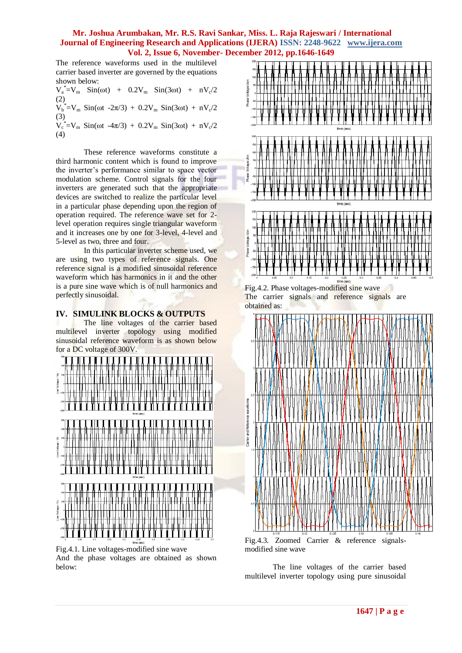The reference waveforms used in the multilevel carrier based inverter are governed by the equations shown below:

 $V_a^* = V_m$  Sin( $\omega t$ ) + 0.2 $V_m$  Sin(3 $\omega t$ ) + n $V_c/2$ (2)  $V_b^* = V_m$  Sin( $\omega t$  -2π/3) + 0.2V<sub>m</sub> Sin(3 $\omega t$ ) + nV<sub>c</sub>/2 (3)

 $V_c^* = V_m$  Sin( $\omega t$  -4 $\pi/3$ ) + 0.2V<sub>m</sub> Sin(3 $\omega t$ ) + nV<sub>c</sub>/2 (4)

These reference waveforms constitute a third harmonic content which is found to improve the inverter's performance similar to space vector modulation scheme. Control signals for the four inverters are generated such that the appropriate devices are switched to realize the particular level in a particular phase depending upon the region of operation required. The reference wave set for 2 level operation requires single triangular waveform and it increases one by one for 3-level, 4-level and 5-level as two, three and four.

In this particular inverter scheme used, we are using two types of reference signals. One reference signal is a modified sinusoidal reference waveform which has harmonics in it and the other is a pure sine wave which is of null harmonics and perfectly sinusoidal.

### **IV. SIMULINK BLOCKS & OUTPUTS**

The line voltages of the carrier based multilevel inverter topology using modified sinusoidal reference waveform is as shown below for a DC voltage of 300V.



Fig.4.1. Line voltages-modified sine wave And the phase voltages are obtained as shown below:



Fig.4.2. Phase voltages-modified sine wave The carrier signals and reference signals are obtained as:



modified sine wave

The line voltages of the carrier based multilevel inverter topology using pure sinusoidal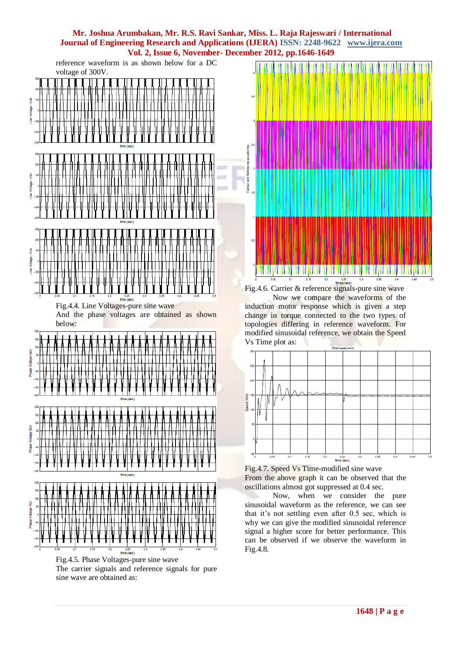reference waveform is as shown below for a DC voltage of 300V.







Fig.4.6. Carrier & reference signals-pure sine wave Now we compare the waveforms of the

induction motor response which is given a step change in torque connected to the two types of topologies differing in reference waveform. For modified sinusoidal reference, we obtain the Speed Vs Time plot as:



Fig.4.7. Speed Vs Time-modified sine wave From the above graph it can be observed that the oscillations almost got suppressed at 0.4 sec.

Now, when we consider the pure sinusoidal waveform as the reference, we can see that it's not settling even after 0.5 sec, which is why we can give the modified sinusoidal reference signal a higher score for better performance. This can be observed if we observe the waveform in Fig.4.8.